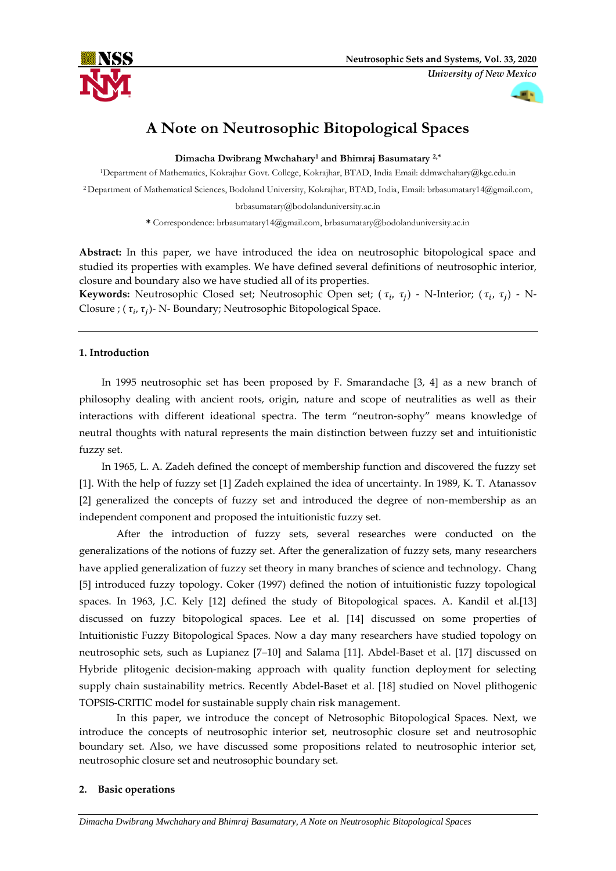*University of New Mexico*



# **A Note on Neutrosophic Bitopological Spaces**

**Dimacha Dwibrang Mwchahary<sup>1</sup> and Bhimraj Basumatary 2,\***

<sup>1</sup>Department of Mathematics, Kokrajhar Govt. College, Kokrajhar, BTAD, India Email: ddmwchahary@kgc.edu.in

<sup>2</sup>Department of Mathematical Sciences, Bodoland University, Kokrajhar, BTAD, India, Email: brbasumatary14@gmail.com,

brbasumatary@bodolanduniversity.ac.in

**\*** Correspondence: brbasumatary14@gmail.com, brbasumatary@bodolanduniversity.ac.in

**Abstract:** In this paper, we have introduced the idea on neutrosophic bitopological space and studied its properties with examples. We have defined several definitions of neutrosophic interior, closure and boundary also we have studied all of its properties.

**Keywords:** Neutrosophic Closed set; Neutrosophic Open set; (  $\tau_i$ ,  $\tau_j$ ) - N-Interior; (  $\tau_i$ ,  $\tau_j$ ) - N-Closure ; (  $\tau_i$ ,  $\tau_j$ )- N- Boundary; Neutrosophic Bitopological Space.

# **1. Introduction**

In 1995 neutrosophic set has been proposed by F. Smarandache [3, 4] as a new branch of philosophy dealing with ancient roots, origin, nature and scope of neutralities as well as their interactions with different ideational spectra. The term "neutron-sophy" means knowledge of neutral thoughts with natural represents the main distinction between fuzzy set and intuitionistic fuzzy set.

In 1965, L. A. Zadeh defined the concept of membership function and discovered the fuzzy set [1]. With the help of fuzzy set [1] Zadeh explained the idea of uncertainty. In 1989, K. T. Atanassov [2] generalized the concepts of fuzzy set and introduced the degree of non-membership as an independent component and proposed the intuitionistic fuzzy set.

After the introduction of fuzzy sets, several researches were conducted on the generalizations of the notions of fuzzy set. After the generalization of fuzzy sets, many researchers have applied generalization of fuzzy set theory in many branches of science and technology. Chang [5] introduced fuzzy topology. Coker (1997) defined the notion of intuitionistic fuzzy topological spaces. In 1963, J.C. Kely [12] defined the study of Bitopological spaces. A. Kandil et al.[13] discussed on fuzzy bitopological spaces. Lee et al. [14] discussed on some properties of Intuitionistic Fuzzy Bitopological Spaces. Now a day many researchers have studied topology on neutrosophic sets, such as Lupianez [7–10] and Salama [11]. Abdel-Baset et al. [17] discussed on Hybride plitogenic decision-making approach with quality function deployment for selecting supply chain sustainability metrics. Recently Abdel-Baset et al. [18] studied on Novel plithogenic TOPSIS-CRITIC model for sustainable supply chain risk management.

In this paper, we introduce the concept of Netrosophic Bitopological Spaces. Next, we introduce the concepts of neutrosophic interior set, neutrosophic closure set and neutrosophic boundary set. Also, we have discussed some propositions related to neutrosophic interior set, neutrosophic closure set and neutrosophic boundary set.

# **2. Basic operations**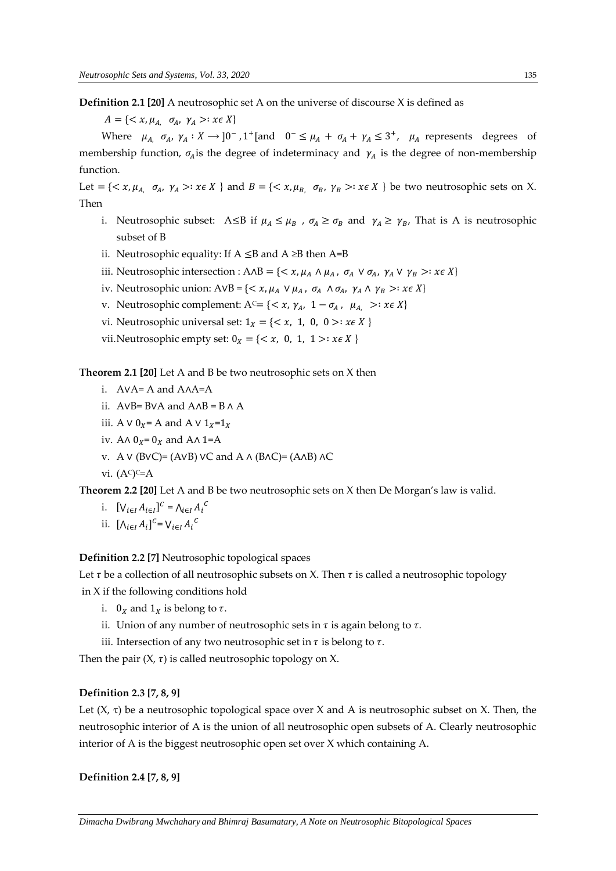**Definition 2.1 [20]** A neutrosophic set A on the universe of discourse X is defined as

 $A = \{ \langle x, \mu_A \mid \sigma_A, \gamma_A \rangle : x \in X \}$ 

Where  $\mu_{A}$ ,  $\sigma_{A}$ ,  $\gamma_{A}: X \rightarrow 0^{-}$ , 1<sup>+</sup>[and  $0^{-} \leq \mu_{A} + \sigma_{A} + \gamma_{A} \leq 3^{+}$ ,  $\mu_{A}$  represents degrees of membership function,  $\sigma_A$  is the degree of indeterminacy and  $\gamma_A$  is the degree of non-membership function.

Let = { $\langle x, \mu_A, \sigma_A, \gamma_A \rangle$  :  $x \in X$  } and  $B = \{ \langle x, \mu_B, \sigma_B, \gamma_B \rangle : x \in X \}$  be two neutrosophic sets on X. Then

- i. Neutrosophic subset: A lextless if  $\mu_A \leq \mu_B$ ,  $\sigma_A \geq \sigma_B$  and  $\gamma_A \geq \gamma_B$ , That is A is neutrosophic subset of B
- ii. Neutrosophic equality: If  $A ≤ B$  and  $A ≥ B$  then  $A = B$
- iii. Neutrosophic intersection :  $A \wedge B = \{ \langle x, \mu_A \wedge \mu_A, \sigma_A \vee \sigma_A, \gamma_A \vee \gamma_B \rangle : x \in X \}$
- iv. Neutrosophic union:  $AVB = \{ \langle x, \mu_A \lor \mu_A, \sigma_A \land \sigma_A, \gamma_A \land \gamma_B \rangle : x \in X \}$
- v. Neutrosophic complement: A<sup>c</sup>= {<  $x$ ,  $\gamma_A$ , 1  $\sigma_A$ ,  $\mu_A$ , >:  $x \in X$ }
- vi. Neutrosophic universal set:  $1_x = \{ \langle x, 1, 0, 0 \rangle : x \in X \}$
- vii.Neutrosophic empty set:  $0_x = \{ \langle x, 0, 1, 1 \rangle : x \in X \}$

**Theorem 2.1 [20]** Let A and B be two neutrosophic sets on X then

- i. A∨A= A and A∧A=A
- ii. A∨B= B∨A and A∧B = B ∧ A
- iii. A ∨  $0_x$  = A and A ∨  $1_x$  =  $1_x$
- iv. A∧  $0_X = 0_X$  and A∧ 1=A
- v. A ∨ (B∨C)= (A∨B) ∨C and A ∧ (B∧C)= (A∧B) ∧C
- vi. (A<sup>c</sup>)<sup>c</sup>=A

**Theorem 2.2 [20]** Let A and B be two neutrosophic sets on X then De Morgan's law is valid.

- i.  $[V_{i \in I} A_{i \in I}]^C = \Lambda_{i \in I} A_i^C$
- ii.  $[\Lambda_{i \in I} A_i]^{C} = V_{i \in I} A_i^{C}$

**Definition 2.2 [7]** Neutrosophic topological spaces

Let  $\tau$  be a collection of all neutrosophic subsets on X. Then  $\tau$  is called a neutrosophic topology in X if the following conditions hold

- i.  $0_x$  and  $1_x$  is belong to  $\tau$ .
- ii. Union of any number of neutrosophic sets in  $\tau$  is again belong to  $\tau$ .
- iii. Intersection of any two neutrosophic set in  $\tau$  is belong to  $\tau$ .

Then the pair  $(X, \tau)$  is called neutrosophic topology on X.

#### **Definition 2.3 [7, 8, 9]**

Let (X, τ) be a neutrosophic topological space over X and A is neutrosophic subset on X. Then, the neutrosophic interior of A is the union of all neutrosophic open subsets of A. Clearly neutrosophic interior of A is the biggest neutrosophic open set over X which containing A.

#### **Definition 2.4 [7, 8, 9]**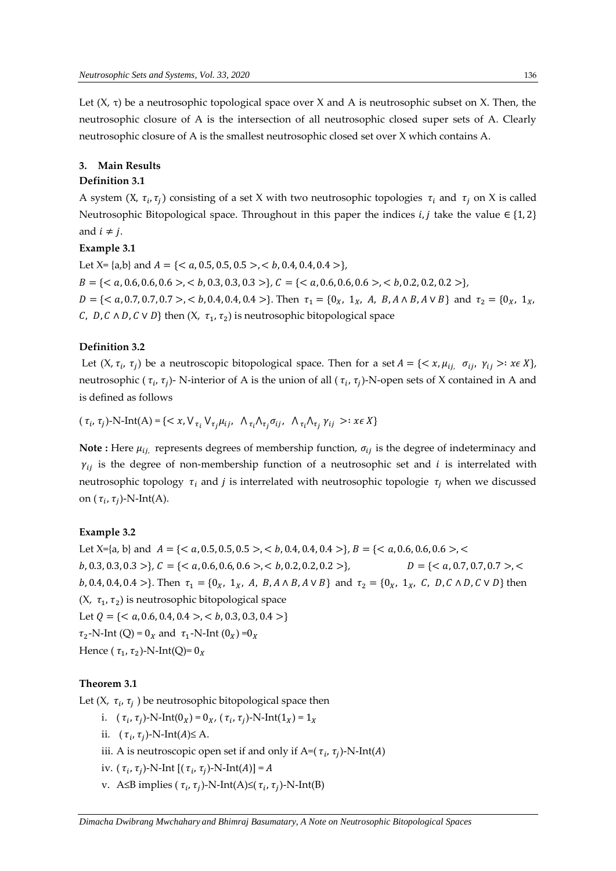Let  $(X, \tau)$  be a neutrosophic topological space over X and A is neutrosophic subset on X. Then, the neutrosophic closure of A is the intersection of all neutrosophic closed super sets of A. Clearly neutrosophic closure of A is the smallest neutrosophic closed set over X which contains A.

# **3. Main Results**

# **Definition 3.1**

A system (X,  $\tau_i$ ,  $\tau_j$ ) consisting of a set X with two neutrosophic topologies  $\tau_i$  and  $\tau_j$  on X is called Neutrosophic Bitopological space. Throughout in this paper the indices *i, j* take the value  $\in \{1,2\}$ and  $i \neq j$ .

# **Example 3.1**

Let  $X = \{a,b\}$  and  $A = \{< a, 0.5, 0.5, 0.5>, < b, 0.4, 0.4, 0.4 >\},\$  $B = \{, **0.6**>, **0.3**, 0.3, 0.3, 0.3 >\}, C = \{0.6>, **0.2**, 0.2, 0.2, 0.2 >\},$  $D = \{< a, 0.7, 0.7, 0.7 > , < b, 0.4, 0.4, 0.4 > \}.$  Then  $\tau_1 = \{0_X, 1_X, A, B, A \wedge B, A \vee B\}$  and  $\tau_2 = \{0_X, 1_X, 0.4, 0.4, 0.4, 0.4 > \}.$ *C*, *D*, *C*  $\land$  *D*, *C*  $\lor$  *D*} then (*X*,  $\tau_1$ ,  $\tau_2$ ) is neutrosophic bitopological space

#### **Definition 3.2**

Let  $(X, \tau_i, \tau_j)$  be a neutroscopic bitopological space. Then for a set  $A = \{ \langle x, \mu_{ij}, \sigma_{ij}, \gamma_{ij} \rangle : x \in X \}$ , neutrosophic ( $\tau_i$ ,  $\tau_j$ )- N-interior of A is the union of all ( $\tau_i$ ,  $\tau_j$ )-N-open sets of X contained in A and is defined as follows

 $(\tau_i, \tau_j)$ -N-Int $(A)$  = {<  $x, V_{\tau_i} V_{\tau_j} \mu_{ij}, \Lambda_{\tau_i} \Lambda_{\tau_j} \sigma_{ij}, \Lambda_{\tau_i} \Lambda_{\tau_j} \gamma_{ij} >: x \in X$ }

**Note :** Here  $\mu_{ij}$ , represents degrees of membership function,  $\sigma_{ij}$  is the degree of indeterminacy and  $\gamma_{ij}$  is the degree of non-membership function of a neutrosophic set and *i* is interrelated with neutrosophic topology  $\tau_i$  and *j* is interrelated with neutrosophic topologie  $\tau_i$ , when we discussed on ( $\tau_i$ ,  $\tau_j$ )-N-Int(A).

#### **Example 3.2**

Let  $X=[a, b]$  and  $A = \{, **b**, 0.4, 0.4, 0.4>, **c**\}, B = \{, **c**\}$  $b, 0.3, 0.3, 0.3 >$ },  $C = \{, **b**, 0.2, 0.2, 0.2 >\}$ ,  $D = \{, **c**, **d**, 0.3, 0.4, 0.7, 0.7 >\}$ b, 0.4, 0.4, 0.4 >}. Then  $\tau_1 = \{0_X, 1_X, A, B, A \wedge B, A \vee B\}$  and  $\tau_2 = \{0_X, 1_X, C, D, C \wedge D, C \vee D\}$  then  $(X, \tau_1, \tau_2)$  is neutrosophic bitopological space Let  $Q = \{, **b**, 0.3, 0.3, 0.4>\}$  $\tau_2$ -N-Int (Q) = 0<sub>x</sub> and  $\tau_1$ -N-Int (0<sub>x</sub>) =0<sub>x</sub> Hence (  $\tau_1$ ,  $\tau_2$ )-N-Int(Q)=  $0_X$ 

## **Theorem 3.1**

Let (X,  $\tau_i$ ,  $\tau_j$  ) be neutrosophic bitopological space then

- i.  $(\tau_i, \tau_j)$ -N-Int $(0_X) = 0_X$ ,  $(\tau_i, \tau_j)$ -N-Int $(1_X) = 1_X$
- ii.  $(\tau_i, \tau_j)$ -N-Int(A)≤ A.
- iii. A is neutroscopic open set if and only if A=( $\tau_i$ ,  $\tau_j$ )-N-Int(A)
- iv.  $(\tau_i, \tau_j)$ -N-Int  $[(\tau_i, \tau_j)$ -N-Int $(A)] = A$
- v. A≤B implies ( $τ_i, τ_j$ )-N-Int(A)≤( $τ_i, τ_j$ )-N-Int(B)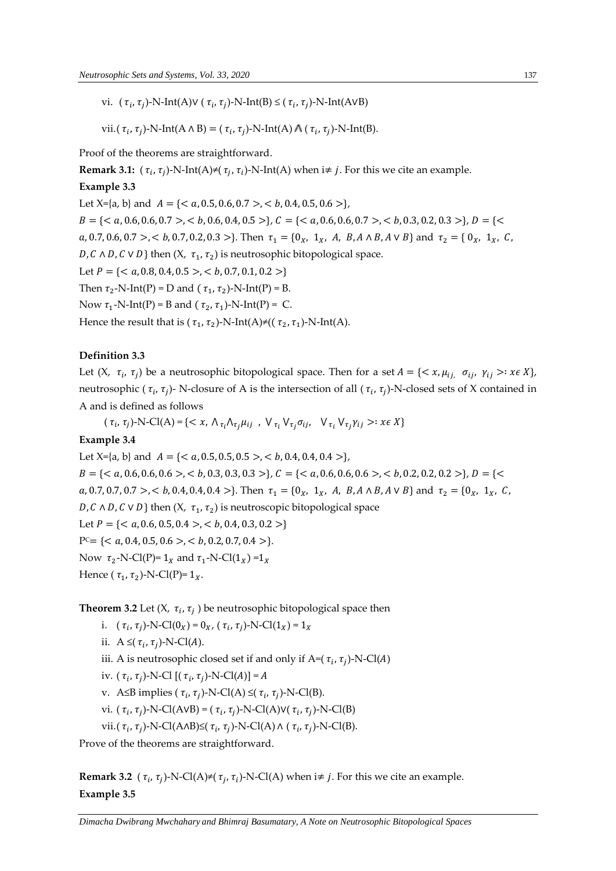vi.  $(\tau_i, \tau_j)$ -N-Int(A)V  $(\tau_i, \tau_j)$ -N-Int(B) ≤  $(\tau_i, \tau_j)$ -N-Int(AVB)

vii.( $\tau_i$ ,  $\tau_j$ )-N-Int(A  $\land$  B) = ( $\tau_i$ ,  $\tau_j$ )-N-Int(A)  $\land$ ( $\tau_i$ ,  $\tau_j$ )-N-Int(B).

Proof of the theorems are straightforward.

**Remark 3.1:**  $(\tau_i, \tau_j)$ -N-Int(A)≠( $\tau_j, \tau_i$ )-N-Int(A) when i≠ *j*. For this we cite an example.

# **Example 3.3**

Let  $X=[a, b]$  and  $A = \{, **b, 0.4, 0.5, 0.6>\},\**$  = {< , 0.6, 0.6, 0.7 >, < , 0.6, 0.4, 0.5 >}, = {< , 0.6, 0.6, 0.7 >, < , 0.3, 0.2, 0.3 >}, = {< , 0.7, 0.6, 0.7 >, < , 0.7, 0.2, 0.3 >}. Then <sup>1</sup> = {0, 1, , , ∧ , ∨ } and <sup>2</sup> = { 0, 1, , D, C  $\wedge$  D, C  $\vee$  D} then (X,  $\tau_1$ ,  $\tau_2$ ) is neutrosophic bitopological space.

Let  $P = \{, **b**, 0.7, 0.1, 0.2>\}$ 

Then  $\tau_2$ -N-Int(P) = D and ( $\tau_1$ ,  $\tau_2$ )-N-Int(P) = B.

Now  $\tau_1$ -N-Int(P) = B and ( $\tau_2$ ,  $\tau_1$ )-N-Int(P) = C.

Hence the result that is ( $\tau_1$ ,  $\tau_2$ )-N-Int(A)≠(( $\tau_2$ ,  $\tau_1$ )-N-Int(A).

# **Definition 3.3**

Let  $(X, \tau_i, \tau_j)$  be a neutrosophic bitopological space. Then for a set  $A = \{ \langle x, \mu_{ij}, \sigma_{ij}, \gamma_{ij} \rangle : x \in X \}$ , neutrosophic ( $\tau_i$ ,  $\tau_j$ )- N-closure of A is the intersection of all ( $\tau_i$ ,  $\tau_j$ )-N-closed sets of X contained in A and is defined as follows

 $(\tau_i, \tau_j)$ -N-Cl(A) = {< x,  $\Lambda_{\tau_i} \Lambda_{\tau_j} \mu_{ij}$ ,  $V_{\tau_i} V_{\tau_j} \sigma_{ij}$ ,  $V_{\tau_i} V_{\tau_j} \gamma_{ij}$  >:  $x \in X$ }

#### **Example 3.4**

Let  $X=[a, b]$  and  $A = \{, **b**, 0.4, 0.4, 0.4>\}$ , = {< , 0.6, 0.6, 0.6 >, < , 0.3, 0.3, 0.3 >}, = {< , 0.6, 0.6, 0.6 >, < , 0.2, 0.2, 0.2 >}, = {< , 0.7, 0.7, 0.7 >, < , 0.4, 0.4, 0.4 >}. Then <sup>1</sup> = {0, 1, , , ∧ , ∨ } and <sup>2</sup> = {0, 1, , D, C  $\wedge$  D, C  $\vee$  D} then (X,  $\tau_1$ ,  $\tau_2$ ) is neutroscopic bitopological space Let  $P = \{, **b, 0.4, 0.3, 0.2>\}**$  $P^c = \{, **b, 0.2, 0.7, 0.4>\}**$ . Now  $\tau_2$ -N-Cl(P)=  $1_X$  and  $\tau_1$ -N-Cl( $1_X$ ) = $1_X$ Hence ( $\tau_1$ ,  $\tau_2$ )-N-Cl(P)=  $1_X$ .

**Theorem 3.2** Let (X,  $\tau_i$ ,  $\tau_j$  ) be neutrosophic bitopological space then

- i.  $(\tau_i, \tau_j)$ -N-Cl(0<sub>X</sub>) = 0<sub>X</sub>, ( $\tau_i$ ,  $\tau_j$ )-N-Cl(1<sub>X</sub>) = 1<sub>X</sub>
- ii.  $A \leq (\tau_i, \tau_j)$ -N-Cl(A).
- iii. A is neutrosophic closed set if and only if A=(  $\tau_i$ ,  $\tau_j$ )-N-Cl(*A*)
- iv.  $(\tau_i, \tau_j)$ -N-Cl  $[(\tau_i, \tau_j)$ -N-Cl(A)] = A
- v. A≤B implies ( $\tau_i$ ,  $\tau_j$ )-N-Cl(A) ≤( $\tau_i$ ,  $\tau_j$ )-N-Cl(B).
- vi. ( $\tau_i$ ,  $\tau_j$ )-N-Cl(AvB) = ( $\tau_i$ ,  $\tau_j$ )-N-Cl(A)V( $\tau_i$ ,  $\tau_j$ )-N-Cl(B)
- vii.( $\tau_i$ ,  $\tau_j$ )-N-Cl(A $\land$ B)≤( $\tau_i$ ,  $\tau_j$ )-N-Cl(A) $\land$  ( $\tau_i$ ,  $\tau_j$ )-N-Cl(B).

Prove of the theorems are straightforward.

**Remark 3.2** ( $\tau_i$ ,  $\tau_j$ )-N-Cl(A)≠( $\tau_j$ ,  $\tau_i$ )-N-Cl(A) when i≠ *j*. For this we cite an example. **Example 3.5**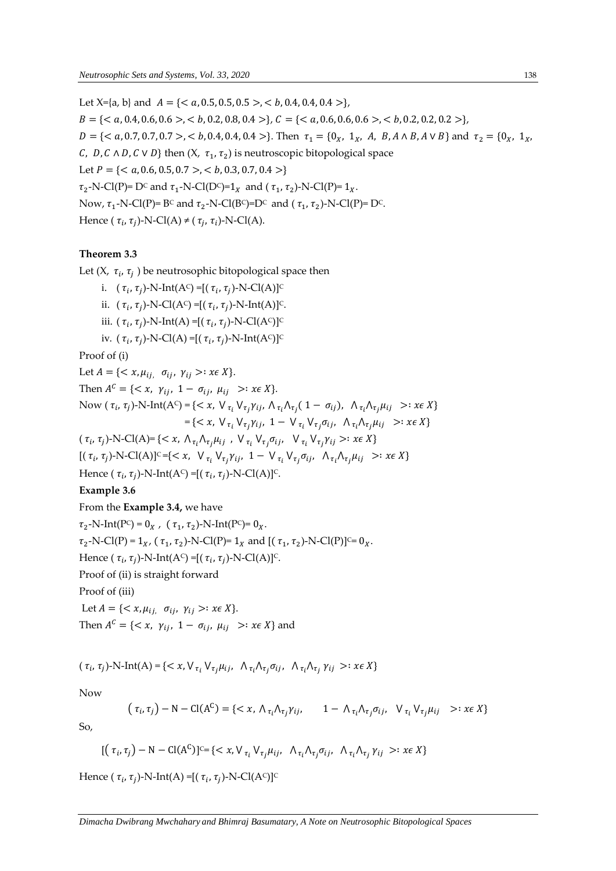Let  $X=[a, b]$  and  $A = \{, **b**, 0.4, 0.4, 0.4>\},\$  = {< , 0.4, 0.6, 0.6 >, < , 0.2, 0.8, 0.4 >}, = {< , 0.6, 0.6, 0.6 >, < , 0.2, 0.2, 0.2 >},  $D = \{< a, 0.7, 0.7, 0.7 > , < b, 0.4, 0.4, 0.4 > \}.$  Then  $\tau_1 = \{0_x, 1_x, A, B, A \wedge B, A \vee B\}$  and  $\tau_2 = \{0_x, 1_x, A, B, A \wedge B, A \vee B\}$ C, D, C  $\wedge$  D, C  $\vee$  D} then  $(X, \tau_1, \tau_2)$  is neutroscopic bitopological space Let  $P = \{  a < b, 0.3, 0.7, 0.4 > \}$  $\tau_2$ -N-Cl(P)= D<sup>c</sup> and  $\tau_1$ -N-Cl(D<sup>c</sup>)=1<sub>X</sub> and ( $\tau_1$ ,  $\tau_2$ )-N-Cl(P)=1<sub>X</sub>. Now,  $\tau_1$ -N-Cl(P)= B<sup>c</sup> and  $\tau_2$ -N-Cl(B<sup>c</sup>)=D<sup>c</sup> and ( $\tau_1$ ,  $\tau_2$ )-N-Cl(P)= D<sup>c</sup>. Hence ( $\tau_i$ ,  $\tau_j$ )-N-Cl(A)  $\neq$  ( $\tau_j$ ,  $\tau_i$ )-N-Cl(A).

# **Theorem 3.3**

Let (X,  $\tau_i$ ,  $\tau_j$  ) be neutrosophic bitopological space then

i.  $(\tau_i, \tau_j)$ -N-Int(A<sup>c</sup>) =[( $\tau_i, \tau_j$ )-N-Cl(A)]<sup>c</sup> ii.  $(\tau_i, \tau_j)$ -N-Cl(A<sup>c</sup>) =[( $\tau_i, \tau_j$ )-N-Int(A)]<sup>c</sup>. iii.  $(\tau_i, \tau_j)$ -N-Int(A) =[( $\tau_i, \tau_j$ )-N-Cl(A<sup>c</sup>)]<sup>c</sup> iv.  $(\tau_i, \tau_j)$ -N-Cl(A) =[( $\tau_i, \tau_j$ )-N-Int(A<sup>c</sup>)]<sup>c</sup>

Proof of (i)

Let  $A = \{ \langle x, \mu_{ii}, \sigma_{ii}, \gamma_{ii} \rangle : x \in X \}.$ Then  $A^C = \{ \langle x, \gamma_{ij}, 1 - \sigma_{ij}, \mu_{ij} \rangle : x \in X \}.$ Now  $(\tau_i, \tau_j)$ -N-Int $(A^c)$  = {< x,  $V_{\tau_i} V_{\tau_j} \gamma_{ij}$ ,  $\Lambda_{\tau_i} \Lambda_{\tau_j} (1 - \sigma_{ij})$ ,  $\Lambda_{\tau_i} \Lambda_{\tau_j} \mu_{ij} >: x \in X$ }  $\mathcal{L} = \{ \langle x, \nabla_{\tau_i} \nabla_{\tau_j} \gamma_{ij}, 1 - \nabla_{\tau_i} \nabla_{\tau_j} \sigma_{ij}, \nabla_{\tau_i} \Lambda_{\tau_j} \mu_{ij} \rangle : x \in X \}$ 

 $(\tau_i, \tau_j)$ -N-Cl(A)= { $< x$ ,  $\Lambda_{\tau_i} \Lambda_{\tau_j} \mu_{ij}$ ,  $V_{\tau_i} V_{\tau_j} \sigma_{ij}$ ,  $V_{\tau_i} V_{\tau_j} \gamma_{ij} >: x \in X$ }

 $[(\tau_i, \tau_j)-N\text{-Cl}(A)]^c = \{ \langle x, \nabla_{\tau_i} \nabla_{\tau_j} \gamma_{ij}, 1 - \nabla_{\tau_i} \nabla_{\tau_j} \sigma_{ij}, \nabla_{\tau_i} \Lambda_{\tau_j} \mu_{ij} \rangle : x \in X \}$ 

Hence (  $\tau_i$ ,  $\tau_j$ )-N-Int(A<sup>c</sup>) =[(  $\tau_i$ ,  $\tau_j$ )-N-Cl(A)]<sup>c</sup>.

# **Example 3.6**

From the **Example 3.4,** we have

 $\tau_2$ -N-Int(P<sup>c</sup>) = 0<sub>X</sub>, ( $\tau_1$ ,  $\tau_2$ )-N-Int(P<sup>c</sup>)= 0<sub>X</sub>.  $\tau_2$ -N-Cl(P) = 1<sub>X</sub>, ( $\tau_1$ ,  $\tau_2$ )-N-Cl(P)= 1<sub>X</sub> and [( $\tau_1$ ,  $\tau_2$ )-N-Cl(P)]<sup>c</sup>= 0<sub>X</sub>. Hence (  $\tau_i$ ,  $\tau_j$ )-N-Int(A<sup>c</sup>) =[(  $\tau_i$ ,  $\tau_j$ )-N-Cl(A)]<sup>c</sup>. Proof of (ii) is straight forward Proof of (iii) Let  $A = \{ \langle x, \mu_{ij} \mid \sigma_{ij}, \gamma_{ij} \rangle : x \in X \}.$ 

Then  $A^C = \{ \langle x, \gamma_{ij}, 1 - \sigma_{ij}, \mu_{ij} \rangle : x \in X \}$  and

$$
(\tau_i, \tau_j)\text{-N-Int}(A) = \{ \langle x, \forall_{\tau_i} \forall_{\tau_j} \mu_{ij}, \ \land_{\tau_i} \land_{\tau_j} \sigma_{ij}, \ \land_{\tau_i} \land_{\tau_j} \gamma_{ij} \rangle : x \in X \}
$$

Now

$$
(\tau_i, \tau_j) - N - \text{Cl}(A^C) = \{ \langle x, \Lambda_{\tau_i} \Lambda_{\tau_j} \gamma_{ij}, \quad 1 - \Lambda_{\tau_i} \Lambda_{\tau_j} \sigma_{ij}, \quad \forall_{\tau_i} \, \forall_{\tau_j} \mu_{ij} \quad \rangle : x \in X \}
$$

So,

$$
[(\tau_i, \tau_j) - N - \text{Cl}(A^C)]^{C} = \{ \langle x, \forall_{\tau_i} \forall_{\tau_j} \mu_{ij}, \land_{\tau_i} \land_{\tau_j} \sigma_{ij}, \land_{\tau_i} \land_{\tau_j} \gamma_{ij} \rangle : x \in X \}
$$

Hence (  $\tau_i$ ,  $\tau_j$ )-N-Int(A) =[(  $\tau_i$ ,  $\tau_j$ )-N-Cl(A<sup>c</sup>)]<sup>c</sup>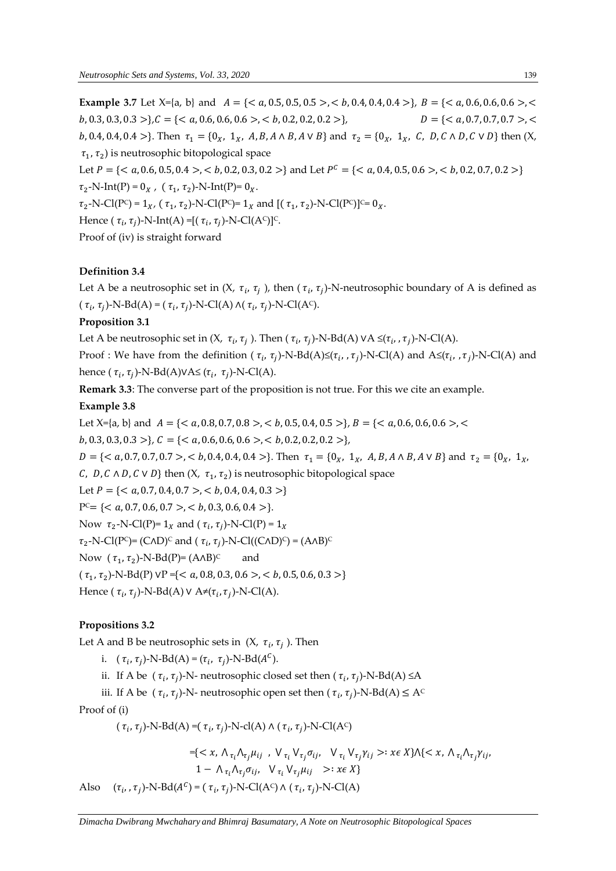**Example 3.7** Let  $X=[a, b]$  and  $A = \{ a < b, 0.4, 0.4, 0.4 >b \}, B = \{ a < b, 0.4, 0.4, 0.4 >b \}, B = \{ a, 0.4, 0.4, 0.4 > b \}, B = \{ a, 0.4, 0.4, 0.4 > b \}, B = \{$ , 0.3, 0.3, 0.3 >}, = {< , 0.6, 0.6, 0.6 >, < , 0.2, 0.2, 0.2 >}, = {< , 0.7, 0.7, 0.7 >, < b, 0.4, 0.4, 0.4 >}. Then  $\tau_1 = \{0_x, 1_x, A, B, A \wedge B, A \vee B\}$  and  $\tau_2 = \{0_x, 1_x, C, D, C \wedge D, C \vee D\}$  then  $(X, B)$  $\tau_1$ ,  $\tau_2$ ) is neutrosophic bitopological space Let  $P = \{, **b**, 0.2, 0.3, 0.2>\}$  and Let  $P^C = \{, **b**, 0.2, 0.7, 0.2>\}$  $\tau_2$ -N-Int(P) = 0<sub>X</sub>, ( $\tau_1$ ,  $\tau_2$ )-N-Int(P)= 0<sub>X</sub>.  $\tau_2$ -N-Cl(P<sup>c</sup>) = 1<sub>X</sub>, ( $\tau_1$ ,  $\tau_2$ )-N-Cl(P<sup>c</sup>)= 1<sub>X</sub> and [( $\tau_1$ ,  $\tau_2$ )-N-Cl(P<sup>c</sup>)]<sup>c</sup>= 0<sub>X</sub>. Hence (  $\tau_i$ ,  $\tau_j$ )-N-Int(A) =[(  $\tau_i$ ,  $\tau_j$ )-N-Cl(A<sup>c</sup>)]<sup>c</sup>. Proof of (iv) is straight forward

# **Definition 3.4**

Let A be a neutrosophic set in  $(X, \tau_i, \tau_j)$ , then  $(\tau_i, \tau_j)$ -N-neutrosophic boundary of A is defined as  $(\tau_i, \tau_j)$ -N-Bd(A) =  $(\tau_i, \tau_j)$ -N-Cl(A)  $\wedge (\tau_i, \tau_j)$ -N-Cl(A<sup>c</sup>).

### **Proposition 3.1**

Let A be neutrosophic set in (X,  $\tau_i$ ,  $\tau_j$  ). Then (  $\tau_i$ ,  $\tau_j$ )-N-Bd(A) <code>vA</code> ≤( $\tau_i$ , , $\tau_j$ )-N-Cl(A).

Proof : We have from the definition ( $\tau_i$ ,  $\tau_j$ )-N-Bd(A)≤( $\tau_i$ , , $\tau_j$ )-N-Cl(A) and A≤( $\tau_i$ , , $\tau_j$ )-N-Cl(A) and hence ( $\tau_i$ ,  $\tau_j$ )-N-Bd(A)VA≤ ( $\tau_i$ ,  $\tau_j$ )-N-Cl(A).

**Remark 3.3**: The converse part of the proposition is not true. For this we cite an example.

### **Example 3.8**

Let  $X=[a, b]$  and  $A = \{, **b**, 0.5, 0.4, 0.5>, **c**, **d**, 0.6, 0.6, 0.6, 0.6, **e**, **f**$  $b, 0.3, 0.3, 0.3 >$ ,  $C = \{, **b**, 0.2, 0.2, 0.2>\}$ ,  $D = \{, **b**, 0.4, 0.4, 0.4> \}.$  Then  $\tau_1 = \{0_x, 1_x, A, B, A \wedge B, A \vee B\}$  and  $\tau_2 = \{0_x, 1_x, A, B, A \vee B, A \vee B\}$ C, D, C  $\wedge$  D, C  $\vee$  D} then  $(X, \tau_1, \tau_2)$  is neutrosophic bitopological space Let  $P = \{, **b**, 0.4, 0.4, 0.3>\}$  $P^C = \{, **b, 0.3, 0.6, 0.4>\}**$ . Now  $\tau_2$ -N-Cl(P)= 1<sub>x</sub> and ( $\tau_i$ ,  $\tau_j$ )-N-Cl(P) = 1<sub>x</sub>  $\tau_2$ -N-Cl(P<sup>c</sup>)= (C^D)<sup>c</sup> and (  $\tau_i$ ,  $\tau_j$ )-N-Cl((C^D)<sup>c</sup>) = (A^B)<sup>c</sup> Now  $(\tau_1, \tau_2)$ -N-Bd(P)= (A $\land$ B)<sup>c</sup> and  $(\tau_1, \tau_2)$ -N-Bd(P) vP ={< a, 0.8, 0.3, 0.6 >, < b, 0.5, 0.6, 0.3 >} Hence (  $\tau_i$ ,  $\tau_j$ )-N-Bd(A) <code>V</code> A $\neq$ ( $\tau_i$ ,  $\tau_j$ )-N-Cl(A).

### **Propositions 3.2**

Let A and B be neutrosophic sets in  $(X, \tau_i, \tau_j)$ . Then

i.  $(\tau_i, \tau_j)$ -N-Bd(A) =  $(\tau_i, \tau_j)$ -N-Bd(A<sup>c</sup>).

ii. If A be ( $\tau_i$ ,  $\tau_j$ )-N- neutrosophic closed set then ( $\tau_i$ ,  $\tau_j$ )-N-Bd(A) ≤A

iii. If A be ( $\tau_i$ ,  $\tau_j$ )-N- neutrosophic open set then ( $\tau_i$ ,  $\tau_j$ )-N-Bd(A)  $\leq$  A<sup>c</sup>

Proof of (i)

 $(\tau_i, \tau_j)$ -N-Bd(A) =( $\tau_i, \tau_j$ )-N-cl(A)  $\wedge$  ( $\tau_i, \tau_j$ )-N-Cl(A<sup>c</sup>)

$$
=\{ \langle x, \Lambda_{\tau_i} \Lambda_{\tau_j} \mu_{ij}, \, \nabla_{\tau_i} \nabla_{\tau_j} \sigma_{ij}, \, \nabla_{\tau_i} \nabla_{\tau_j} \gamma_{ij} \rangle : x \in X \} \Lambda \{ \langle x, \Lambda_{\tau_i} \Lambda_{\tau_j} \gamma_{ij}, \, 1 - \Lambda_{\tau_i} \Lambda_{\tau_j} \sigma_{ij}, \, \nabla_{\tau_i} \nabla_{\tau_j} \mu_{ij} \rangle : x \in X \}
$$

Also  $(\tau_i, \tau_j)$ -N-Bd( $A^C$ ) = ( $\tau_i, \tau_j$ )-N-Cl(A<sup>C</sup>)  $\wedge$  ( $\tau_i, \tau_j$ )-N-Cl(A)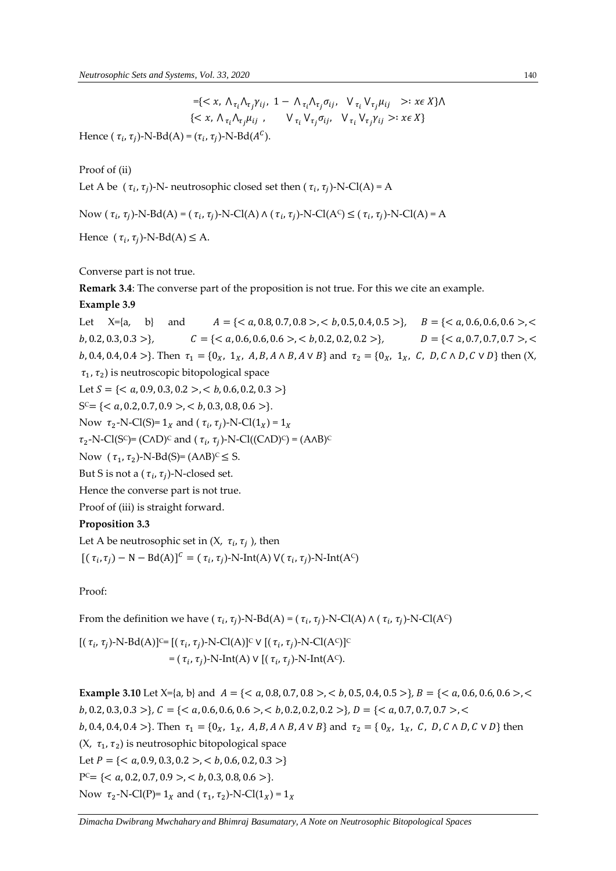Hence  $(\tau_i, \tau_j)$ -N-Bd(A) =  $(\tau_i, \tau_j)$ -N-Bd( $A^C$ ).

Proof of (ii)

Let A be  $(\tau_i, \tau_j)$ -N- neutrosophic closed set then  $(\tau_i, \tau_j)$ -N-Cl(A) = A

Now 
$$
(\tau_i, \tau_j)
$$
-N-Bd(A) =  $(\tau_i, \tau_j)$ -N-Cl(A)  $\wedge (\tau_i, \tau_j)$ -N-Cl(A<sup>c</sup>)  $\leq (\tau_i, \tau_j)$ -N-Cl(A) = A

Hence  $(\tau_i, \tau_j)$ -N-Bd(A)  $\leq$  A.

#### Converse part is not true.

**Remark 3.4**: The converse part of the proposition is not true. For this we cite an example.

#### **Example 3.9**

Let  $X=[a, b]$  and  $A = \{, **b, 0.5, 0.4, 0.5>\}, B = \{, **c**, **d** \}**$  $b, 0.2, 0.3, 0.3 >$ },  $C = \{  a < b, 0.2, 0.2, 0.2 > \},$   $D = \{  a < b, 0.2, 0.2 > a \}$ b, 0.4, 0.4, 0.4 >}. Then  $\tau_1 = \{0_X, 1_X, A, B, A \wedge B, A \vee B\}$  and  $\tau_2 = \{0_X, 1_X, C, D, C \wedge D, C \vee D\}$  then  $(X, B)$  $\tau_1$ ,  $\tau_2$ ) is neutroscopic bitopological space Let  $S = \{, **b, 0.6, 0.2, 0.3>\}**$  $S^c = \{ , **b, 0.3, 0.8, 0.6> \}.**$ Now  $\tau_2$ -N-Cl(S)= 1<sub>x</sub> and ( $\tau_i$ ,  $\tau_j$ )-N-Cl(1<sub>x</sub>) = 1<sub>x</sub>  $\tau_2$ -N-Cl(S<sup>c</sup>)= (C^D)<sup>c</sup> and ( $\tau_i$ ,  $\tau_j$ )-N-Cl((C^D)<sup>c</sup>) = (A^B)<sup>c</sup> Now  $(\tau_1, \tau_2)$ -N-Bd(S)=  $(A \wedge B)^c \leq S$ . But S is not a (  $\tau_i$ ,  $\tau_j$ )-N-closed set. Hence the converse part is not true. Proof of (iii) is straight forward. **Proposition 3.3**

Let A be neutrosophic set in (X,  $\tau_i$ ,  $\tau_j$  ), then  $[(\tau_i, \tau_j) - N - Bd(A)]^C = (\tau_i, \tau_j)$ -N-Int(A)  $V(\tau_i, \tau_j)$ -N-Int(A<sup>c</sup>)

Proof:

From the definition we have (  $\tau_i$ ,  $\tau_j$ )-N-Bd(A) = (  $\tau_i$ ,  $\tau_j$ )-N-Cl(A)  $\wedge$  (  $\tau_i$ ,  $\tau_j$ )-N-Cl(A<sup>c</sup>)

 $[(\tau_i, \tau_j)$ -N-Bd(A)] $\subseteq [(\tau_i, \tau_j)$ -N-Cl(A)] $\subseteq$  V  $[(\tau_i, \tau_j)$ -N-Cl(A $\subseteq$ )] $\subseteq$ = ( $\tau_i$ ,  $\tau_j$ )-N-Int(A)  $\vee$  [( $\tau_i$ ,  $\tau_j$ )-N-Int(A<sup>c</sup>).

**Example 3.10** Let  $X=[a, b]$  and  $A = \{, **b, 0.5, 0.4, 0.5>\}**$ ,  $B = \{, **c**, **d** \}$  $b, 0.2, 0.3, 0.3 >$ },  $C = \{  0, **c**, 0.2, 0.2, 0.2 > 0, **d** \}$  =  $\{  0, **d** \}$ b, 0.4, 0.4, 0.4 >}. Then  $\tau_1 = \{0_x, 1_x, A, B, A \wedge B, A \vee B\}$  and  $\tau_2 = \{0_x, 1_x, C, D, C \wedge D, C \vee D\}$  then  $(X, \tau_1, \tau_2)$  is neutrosophic bitopological space Let  $P = \{, **b, 0.6, 0.2, 0.3>\}**$  $P^c = \{, **b**, 0.3, 0.8, 0.6>\}.$ Now  $\tau_2$ -N-Cl(P)= 1<sub>X</sub> and ( $\tau_1$ ,  $\tau_2$ )-N-Cl(1<sub>X</sub>) = 1<sub>X</sub>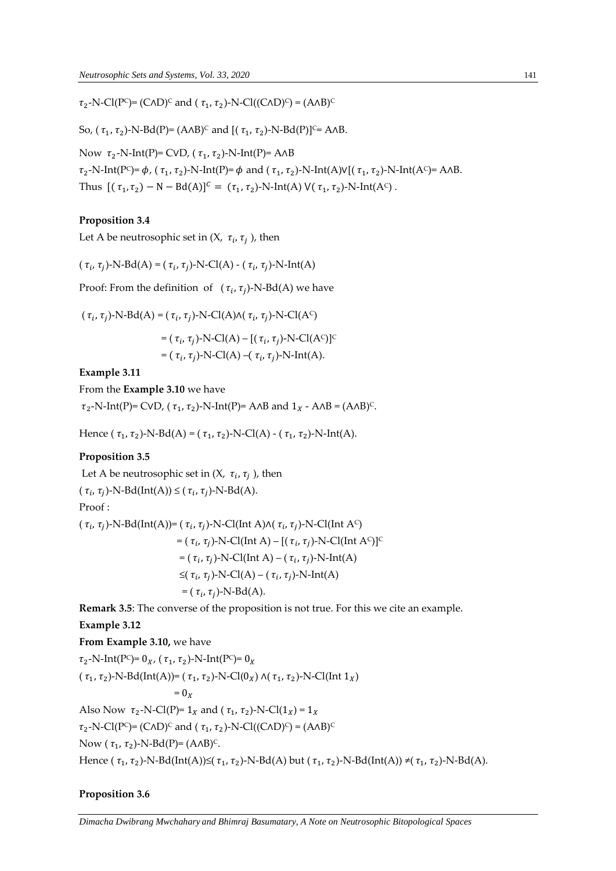$\tau_2$ -N-Cl(P<sup>c</sup>)= (C^D)<sup>c</sup> and ( $\tau_1$ ,  $\tau_2$ )-N-Cl((C^D)<sup>c</sup>) = (A^B)<sup>c</sup>

So, ( $\tau_1$ ,  $\tau_2$ )-N-Bd(P)= (A^B)<sup>c</sup> and [( $\tau_1$ ,  $\tau_2$ )-N-Bd(P)]<sup>c</sup>= A^B.

Now  $\tau_2$ -N-Int(P)= CVD, ( $\tau_1$ ,  $\tau_2$ )-N-Int(P)= A^B  $\tau_2$ -N-Int(P<sup>c</sup>)=  $\phi$ , ( $\tau_1$ ,  $\tau_2$ )-N-Int(P)=  $\phi$  and ( $\tau_1$ ,  $\tau_2$ )-N-Int(A)V[( $\tau_1$ ,  $\tau_2$ )-N-Int(A<sup>c</sup>)= A^B. Thus  $[(\tau_1, \tau_2) - N - Bd(A)]^C = (\tau_1, \tau_2) - N-Int(A) V(\tau_1, \tau_2) - N-Int(A^C)$ .

#### **Proposition 3.4**

Let A be neutrosophic set in (X,  $\tau_i$ ,  $\tau_j$  ), then

 $(\tau_i, \tau_j)$ -N-Bd(A) = ( $\tau_i, \tau_j$ )-N-Cl(A) - ( $\tau_i, \tau_j$ )-N-Int(A)

Proof: From the definition of  $(\tau_i, \tau_j)$ -N-Bd(A) we have

 $(\tau_i, \tau_j)$ -N-Bd(A) =  $(\tau_i, \tau_j)$ -N-Cl(A) $\wedge$ ( $\tau_i, \tau_j$ )-N-Cl(A<sup>c</sup>) =  $(\tau_i, \tau_j)$ -N-Cl(A) – [( $\tau_i, \tau_j$ )-N-Cl(A<sup>c</sup>)]<sup>c</sup> =  $(\tau_i, \tau_j)$ -N-Cl(A) –( $\tau_i, \tau_j$ )-N-Int(A).

**Example 3.11**

From the **Example 3.10** we have

 $\tau_2$ -N-Int(P)= CVD,  $(\tau_1, \tau_2)$ -N-Int(P)= A^B and  $1_X$  - A^B = (A^B)<sup>c</sup>.

Hence ( $\tau_1$ ,  $\tau_2$ )-N-Bd(A) = ( $\tau_1$ ,  $\tau_2$ )-N-Cl(A) - ( $\tau_1$ ,  $\tau_2$ )-N-Int(A).

#### **Proposition 3.5**

Let A be neutrosophic set in  $(X, \tau_i, \tau_j)$ , then

$$
(\tau_i, \tau_j)
$$
-N-Bd(Int(A))  $\leq (\tau_i, \tau_j)$ -N-Bd(A).

Proof :

(  $\tau_i$ ,  $\tau_j$ )-N-Bd(Int(A))= (  $\tau_i$ ,  $\tau_j$ )-N-Cl(Int A) $\wedge$ (  $\tau_i$ ,  $\tau_j$ )-N-Cl(Int A<sup>c</sup>) =  $(\tau_i, \tau_j)$ -N-Cl(Int A) – [ $(\tau_i, \tau_j)$ -N-Cl(Int A<sup>c</sup>)]<sup>c</sup> = ( $\tau_i$ ,  $\tau_j$ )-N-Cl(Int A) – ( $\tau_i$ ,  $\tau_j$ )-N-Int(A)  $\leq (\tau_i, \tau_j)$ -N-Cl(A) – ( $\tau_i, \tau_j$ )-N-Int(A)  $=$   $(\tau_i, \tau_j)$ -N-Bd(A).

**Remark 3.5**: The converse of the proposition is not true. For this we cite an example.

**Example 3.12**

**From Example 3.10,** we have

 $\tau_2$ -N-Int(P<sup>c</sup>)= 0<sub>*x*</sub>, ( $\tau_1$ ,  $\tau_2$ )-N-Int(P<sup>c</sup>)= 0<sub>*x*</sub> ( $\tau_1$ ,  $\tau_2$ )-N-Bd(Int(A))= ( $\tau_1$ ,  $\tau_2$ )-N-Cl(0<sub>X</sub>)  $\wedge$ ( $\tau_1$ ,  $\tau_2$ )-N-Cl(Int 1<sub>X</sub>)  $= 0<sub>x</sub>$ Also Now  $\tau_2$ -N-Cl(P)= 1<sub>X</sub> and ( $\tau_1$ ,  $\tau_2$ )-N-Cl(1<sub>X</sub>) = 1<sub>X</sub>  $\tau_2$ -N-Cl(P<sup>c</sup>)= (C^D)<sup>c</sup> and ( $\tau_1$ ,  $\tau_2$ )-N-Cl((C^D)<sup>c</sup>) = (A^B)<sup>c</sup> Now ( $\tau_1$ ,  $\tau_2$ )-N-Bd(P)= (A^B)<sup>c</sup>. Hence (  $\tau_1$ ,  $\tau_2$ )-N-Bd(Int(A))≤(  $\tau_1$ ,  $\tau_2$ )-N-Bd(A) but (  $\tau_1$ ,  $\tau_2$ )-N-Bd(Int(A)) ≠(  $\tau_1$ ,  $\tau_2$ )-N-Bd(A).

#### **Proposition 3.6**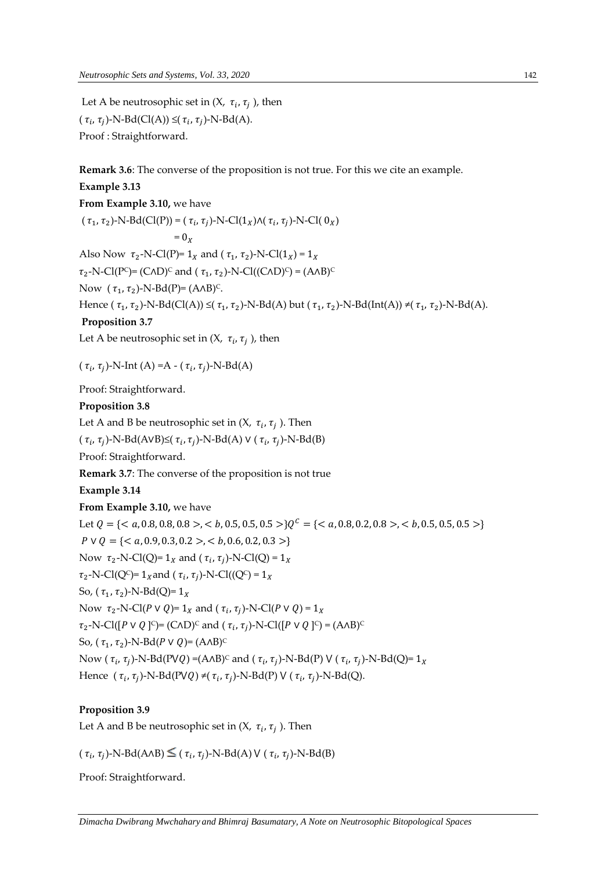Let A be neutrosophic set in  $(X, \tau_i, \tau_j)$ , then  $(\tau_i, \tau_j)$ -N-Bd(Cl(A))  $\leq (\tau_i, \tau_j)$ -N-Bd(A). Proof : Straightforward.

**Remark 3.6**: The converse of the proposition is not true. For this we cite an example.

**Example 3.13 From Example 3.10,** we have  $(\tau_1, \tau_2)$ -N-Bd(Cl(P)) =  $(\tau_i, \tau_j)$ -N-Cl(1<sub>x</sub>) $\wedge (\tau_i, \tau_j)$ -N-Cl(0<sub>x</sub>)  $= 0<sub>v</sub>$ Also Now  $\tau_2$ -N-Cl(P)= 1<sub>X</sub> and ( $\tau_1$ ,  $\tau_2$ )-N-Cl(1<sub>X</sub>) = 1<sub>X</sub>  $\tau_2$ -N-Cl(P<sup>c</sup>)= (C^D)<sup>c</sup> and ( $\tau_1$ ,  $\tau_2$ )-N-Cl((C^D)<sup>c</sup>) = (A^B)<sup>c</sup> Now  $(\tau_1, \tau_2)$ -N-Bd(P)= (A^B)<sup>c</sup>. Hence (  $\tau_1$ ,  $\tau_2$ )-N-Bd(Cl(A))  $\leq$ (  $\tau_1$ ,  $\tau_2$ )-N-Bd(A) but (  $\tau_1$ ,  $\tau_2$ )-N-Bd(Int(A))  $\neq$ (  $\tau_1$ ,  $\tau_2$ )-N-Bd(A). **Proposition 3.7** Let A be neutrosophic set in (X,  $\tau_i$ ,  $\tau_j$  ), then (  $\tau_i$ ,  $\tau_j$ )-N-Int (A) =A - (  $\tau_i$ ,  $\tau_j$ )-N-Bd(A) Proof: Straightforward. **Proposition 3.8** Let A and B be neutrosophic set in  $(X, \tau_i, \tau_j)$ . Then  $(\tau_i, \tau_j)$ -N-Bd(AVB)≤( $\tau_i, \tau_j$ )-N-Bd(A) ∨ ( $\tau_i, \tau_j$ )-N-Bd(B) Proof: Straightforward. **Remark 3.7**: The converse of the proposition is not true **Example 3.14 From Example 3.10,** we have Let  $Q = \{ 0.8, 0.5, 0.5, 0.5 > 0.9^C = \{ 0.6, 0.5, 0.5 > 0.5 > 0.5 \}$  $P \vee Q = \{, **b, 0.6, 0.2, 0.3>\}**$ Now  $\tau_2$ -N-Cl(Q)=  $1_X$  and ( $\tau_i$ ,  $\tau_j$ )-N-Cl(Q) =  $1_X$  $\tau_2$ -N-Cl(Q<sup>c</sup>)= 1<sub>x</sub> and ( $\tau_i$ ,  $\tau_j$ )-N-Cl((Q<sup>c</sup>) = 1<sub>x</sub> So,  $(\tau_1, \tau_2)$ -N-Bd(Q)=  $1_X$ Now  $\tau_2$ -N-Cl(P v Q)= 1<sub>x</sub> and ( $\tau_i$ ,  $\tau_j$ )-N-Cl(P v Q) = 1<sub>x</sub>  $\tau_2$ -N-Cl([P v Q ]<sup>c</sup>)= (C^D)<sup>c</sup> and (  $\tau_i$ ,  $\tau_j$ )-N-Cl([P v Q ]<sup>c</sup>) = (A^B)<sup>c</sup> So, ( $\tau_1$ ,  $\tau_2$ )-N-Bd(P v Q)= (A^B)<sup>c</sup> Now (  $\tau_i$ ,  $\tau_j$ )-N-Bd(PVQ) =(A^B)<sup>c</sup> and (  $\tau_i$ ,  $\tau_j$ )-N-Bd(P) V (  $\tau_i$ ,  $\tau_j$ )-N-Bd(Q)= 1<sub>x</sub> Hence  $(\tau_i, \tau_j)$ -N-Bd(PVQ)  $\neq$ ( $\tau_i, \tau_j$ )-N-Bd(P) V ( $\tau_i, \tau_j$ )-N-Bd(Q).

# **Proposition 3.9**

Let A and B be neutrosophic set in  $(X, \tau_i, \tau_j)$ . Then

 $(\tau_i, \tau_j)$ -N-Bd(A $\land$ B)  $\leq (\tau_i, \tau_j)$ -N-Bd(A) V ( $\tau_i, \tau_j$ )-N-Bd(B)

Proof: Straightforward.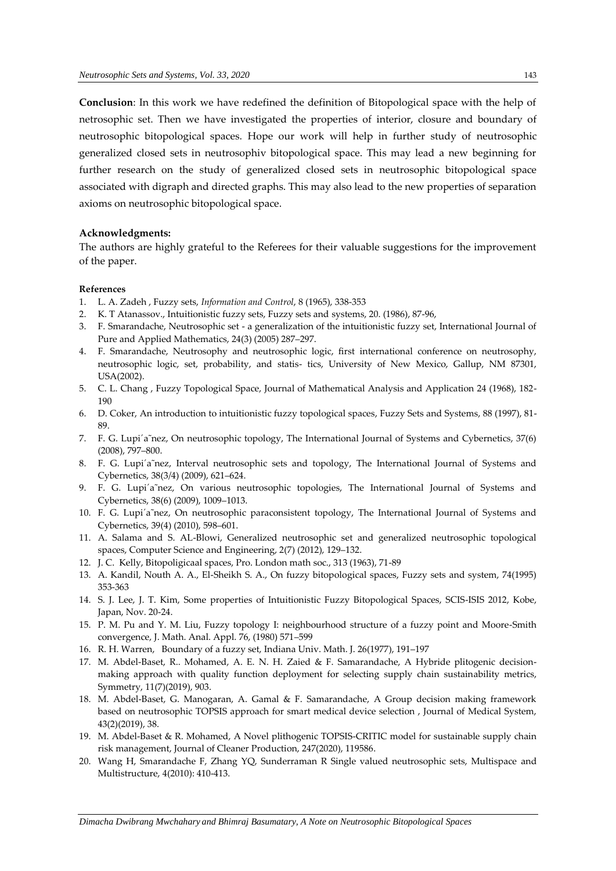**Conclusion**: In this work we have redefined the definition of Bitopological space with the help of netrosophic set. Then we have investigated the properties of interior, closure and boundary of neutrosophic bitopological spaces. Hope our work will help in further study of neutrosophic generalized closed sets in neutrosophiv bitopological space. This may lead a new beginning for further research on the study of generalized closed sets in neutrosophic bitopological space associated with digraph and directed graphs. This may also lead to the new properties of separation axioms on neutrosophic bitopological space.

### **Acknowledgments:**

The authors are highly grateful to the Referees for their valuable suggestions for the improvement of the paper.

### **References**

- 1. L. A. Zadeh , Fuzzy sets, *Information and Control*, 8 (1965), 338-353
- 2. K. T Atanassov., Intuitionistic fuzzy sets, Fuzzy sets and systems, 20. (1986), 87-96,
- 3. F. Smarandache, Neutrosophic set a generalization of the intuitionistic fuzzy set, International Journal of Pure and Applied Mathematics, 24(3) (2005) 287–297.
- 4. F. Smarandache, Neutrosophy and neutrosophic logic, first international conference on neutrosophy, neutrosophic logic, set, probability, and statis- tics, University of New Mexico, Gallup, NM 87301, USA(2002).
- 5. C. L. Chang , Fuzzy Topological Space, Journal of Mathematical Analysis and Application 24 (1968), 182- 190
- 6. D. Coker, An introduction to intuitionistic fuzzy topological spaces, Fuzzy Sets and Systems, 88 (1997), 81- 89.
- 7. F. G. Lupi´a˜nez, On neutrosophic topology, The International Journal of Systems and Cybernetics, 37(6) (2008), 797–800.
- 8. F. G. Lupi'a nez, Interval neutrosophic sets and topology, The International Journal of Systems and Cybernetics, 38(3/4) (2009), 621–624.
- 9. F. G. Lupi'a nez, On various neutrosophic topologies, The International Journal of Systems and Cybernetics, 38(6) (2009), 1009–1013.
- 10. F. G. Lupi´a˜nez, On neutrosophic paraconsistent topology, The International Journal of Systems and Cybernetics, 39(4) (2010), 598–601.
- 11. A. Salama and S. AL-Blowi, Generalized neutrosophic set and generalized neutrosophic topological spaces, Computer Science and Engineering, 2(7) (2012), 129–132.
- 12. J. C. Kelly, Bitopoligicaal spaces, Pro. London math soc., 313 (1963), 71-89
- 13. A. Kandil, Nouth A. A., El-Sheikh S. A., On fuzzy bitopological spaces, Fuzzy sets and system, 74(1995) 353-363
- 14. S. J. Lee, J. T. Kim, Some properties of Intuitionistic Fuzzy Bitopological Spaces, SCIS-ISIS 2012, Kobe, Japan, Nov. 20-24.
- 15. P. M. Pu and Y. M. Liu, Fuzzy topology I: neighbourhood structure of a fuzzy point and Moore-Smith convergence, J. Math. Anal. Appl. 76, (1980) 571–599
- 16. R. H. Warren, Boundary of a fuzzy set, Indiana Univ. Math. J. 26(1977), 191–197
- 17. M. Abdel-Baset, R.. Mohamed, A. E. N. H. Zaied & F. Samarandache, A Hybride plitogenic decisionmaking approach with quality function deployment for selecting supply chain sustainability metrics, Symmetry, 11(7)(2019), 903.
- 18. M. Abdel-Baset, G. Manogaran, A. Gamal & F. Samarandache, A Group decision making framework based on neutrosophic TOPSIS approach for smart medical device selection , Journal of Medical System, 43(2)(2019), 38.
- 19. M. Abdel-Baset & R. Mohamed, A Novel plithogenic TOPSIS-CRITIC model for sustainable supply chain risk management, Journal of Cleaner Production, 247(2020), 119586.
- 20. Wang H, Smarandache F, Zhang YQ, Sunderraman R Single valued neutrosophic sets, Multispace and Multistructure, 4(2010): 410-413.